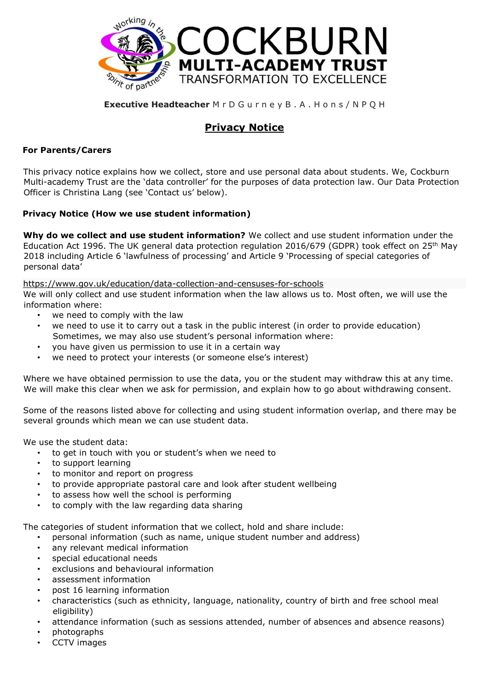

#### **Executive Headteacher** M r D G u r n e y B . A . H o n s / N P Q H

# **Privacy Notice**

#### **For Parents/Carers**

This privacy notice explains how we collect, store and use personal data about students. We, Cockburn Multi-academy Trust are the 'data controller' for the purposes of data protection law. Our Data Protection Officer is Christina Lang (see 'Contact us' below).

#### **Privacy Notice (How we use student information)**

**Why do we collect and use student information?** We collect and use student information under the Education Act 1996. The UK general data protection regulation 2016/679 (GDPR) took effect on 25<sup>th</sup> May 2018 including Article 6 'lawfulness of processing' and Article 9 'Processing of special categories of personal data'

<https://www.gov.uk/education/data-collection-and-censuses-for-schools> We will only collect and use student information when the law allows us to. Most often, we will use the

information where:

- we need to comply with the law
- we need to use it to carry out a task in the public interest (in order to provide education) Sometimes, we may also use student's personal information where:
- you have given us permission to use it in a certain way
- we need to protect your interests (or someone else's interest)

Where we have obtained permission to use the data, you or the student may withdraw this at any time. We will make this clear when we ask for permission, and explain how to go about withdrawing consent.

Some of the reasons listed above for collecting and using student information overlap, and there may be several grounds which mean we can use student data.

We use the student data:

- to get in touch with you or student's when we need to
- to support learning
- to monitor and report on progress
- to provide appropriate pastoral care and look after student wellbeing
- to assess how well the school is performing
- to comply with the law regarding data sharing

The categories of student information that we collect, hold and share include:

- personal information (such as name, unique student number and address)
- any relevant medical information
- special educational needs
- exclusions and behavioural information
- assessment information
- post 16 learning information
- characteristics (such as ethnicity, language, nationality, country of birth and free school meal eligibility)
- attendance information (such as sessions attended, number of absences and absence reasons)
- photographs
- CCTV images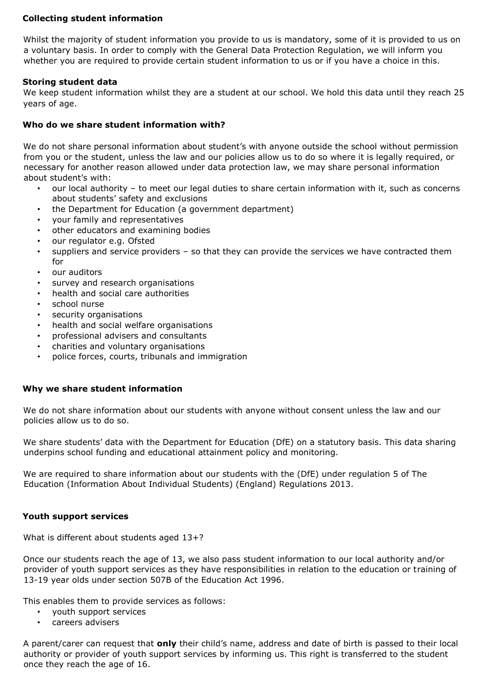### **Collecting student information**

Whilst the majority of student information you provide to us is mandatory, some of it is provided to us on a voluntary basis. In order to comply with the General Data Protection Regulation, we will inform you whether you are required to provide certain student information to us or if you have a choice in this.

## **Storing student data**

We keep student information whilst they are a student at our school. We hold this data until they reach 25 years of age.

## **Who do we share student information with?**

We do not share personal information about student's with anyone outside the school without permission from you or the student, unless the law and our policies allow us to do so where it is legally required, or necessary for another reason allowed under data protection law, we may share personal information about student's with:

- our local authority to meet our legal duties to share certain information with it, such as concerns about students' safety and exclusions
- the Department for Education (a government department)
- your family and representatives
- other educators and examining bodies
- our regulator e.g. Ofsted
- suppliers and service providers so that they can provide the services we have contracted them for
- our auditors
- survey and research organisations
- health and social care authorities
- school nurse
- security organisations
- health and social welfare organisations
- professional advisers and consultants
- charities and voluntary organisations
- police forces, courts, tribunals and immigration

#### **Why we share student information**

We do not share information about our students with anyone without consent unless the law and our policies allow us to do so.

We share students' data with the Department for Education (DfE) on a statutory basis. This data sharing underpins school funding and educational attainment policy and monitoring.

We are required to share information about our students with the (DfE) under regulation 5 of The Education (Information About Individual Students) (England) Regulations 2013.

#### **Youth support services**

What is different about students aged 13+?

Once our students reach the age of 13, we also pass student information to our local authority and/or provider of youth support services as they have responsibilities in relation to the education or training of 13-19 year olds under section 507B of the Education Act 1996.

This enables them to provide services as follows:

- youth support services
- careers advisers

A parent/carer can request that **only** their child's name, address and date of birth is passed to their local authority or provider of youth support services by informing us. This right is transferred to the student once they reach the age of 16.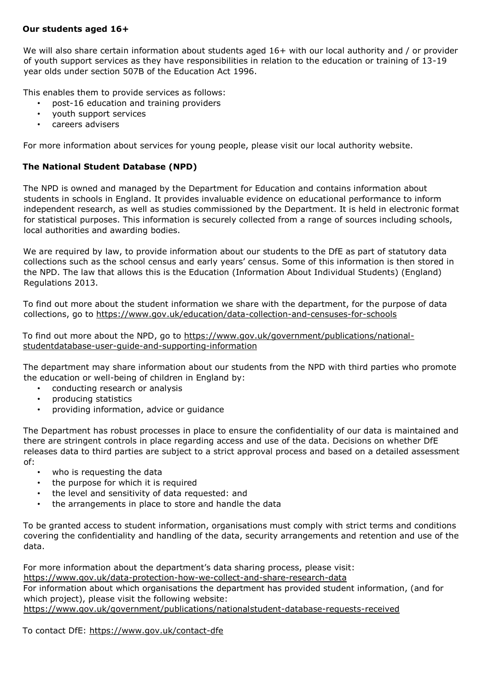#### **Our students aged 16+**

We will also share certain information about students aged 16+ with our local authority and / or provider of youth support services as they have responsibilities in relation to the education or training of 13-19 year olds under section 507B of the Education Act 1996.

This enables them to provide services as follows:

- post-16 education and training providers
- youth support services
- careers advisers

For more information about services for young people, please visit our local authority website.

## **The National Student Database (NPD)**

The NPD is owned and managed by the Department for Education and contains information about students in schools in England. It provides invaluable evidence on educational performance to inform independent research, as well as studies commissioned by the Department. It is held in electronic format for statistical purposes. This information is securely collected from a range of sources including schools, local authorities and awarding bodies.

We are required by law, to provide information about our students to the DfE as part of statutory data collections such as the school census and early years' census. Some of this information is then stored in the NPD. The law that allows this is the Education (Information About Individual Students) (England) Regulations 2013.

To find out more about the student information we share with the department, for the purpose of data collections, go to <https://www.gov.uk/education/data-collection-and-censuses-for-schools>

To find out more about the NPD, go to [https://www.gov.uk/government/publications/national](https://www.gov.uk/government/publications/national-pupil-database-user-guide-and-supporting-information)[studentdatabase-user-guide-and-supporting-information](https://www.gov.uk/government/publications/national-pupil-database-user-guide-and-supporting-information)

The department may share information about our students from the NPD with third parties who promote the education or well-being of children in England by:

- conducting research or analysis
- producing statistics
- providing information, advice or guidance

The Department has robust processes in place to ensure the confidentiality of our data is maintained and there are stringent controls in place regarding access and use of the data. Decisions on whether DfE releases data to third parties are subject to a strict approval process and based on a detailed assessment of:

- who is requesting the data
- the purpose for which it is required
- the level and sensitivity of data requested: and
- the arrangements in place to store and handle the data

To be granted access to student information, organisations must comply with strict terms and conditions covering the confidentiality and handling of the data, security arrangements and retention and use of the data.

For more information about the department's data sharing process, please visit: <https://www.gov.uk/data-protection-how-we-collect-and-share-research-data> For information about which organisations the department has provided student information, (and for which project), please visit the following website[:](https://www.gov.uk/government/publications/national-pupil-database-requests-received) [https://www.gov.uk/government/publications/nationalstudent-database-requests-received](https://www.gov.uk/government/publications/national-pupil-database-requests-received)

To contact DfE[:](https://www.gov.uk/contact-dfe) <https://www.gov.uk/contact-dfe>